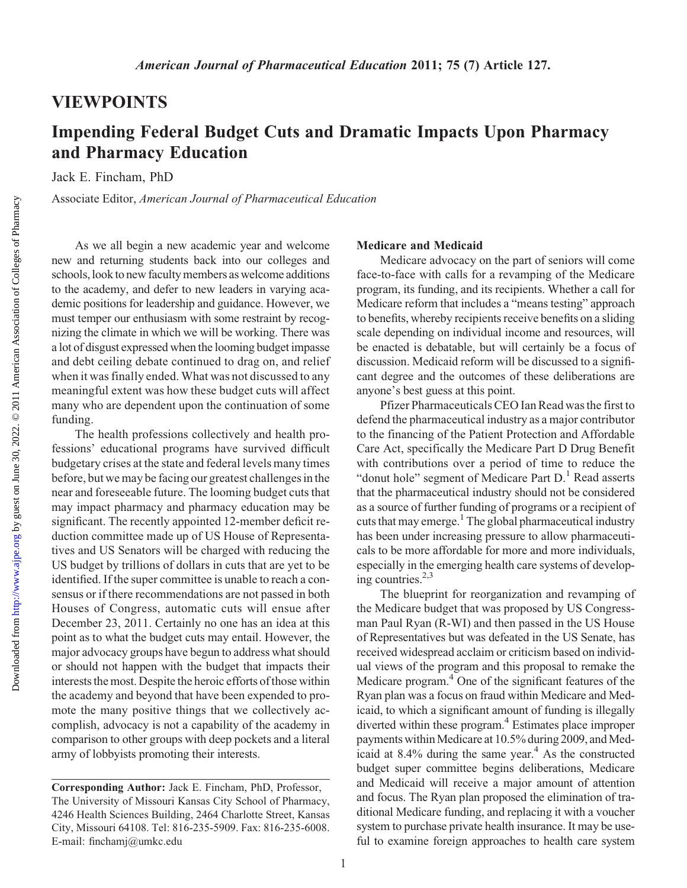## VIEWPOINTS

# Impending Federal Budget Cuts and Dramatic Impacts Upon Pharmacy and Pharmacy Education

Jack E. Fincham, PhD

Associate Editor, American Journal of Pharmaceutical Education

As we all begin a new academic year and welcome new and returning students back into our colleges and schools, look to new faculty members as welcome additions to the academy, and defer to new leaders in varying academic positions for leadership and guidance. However, we must temper our enthusiasm with some restraint by recognizing the climate in which we will be working. There was a lot of disgust expressed when the looming budget impasse and debt ceiling debate continued to drag on, and relief when it was finally ended. What was not discussed to any meaningful extent was how these budget cuts will affect many who are dependent upon the continuation of some funding.

The health professions collectively and health professions' educational programs have survived difficult budgetary crises at the state and federal levels many times before, but we may be facing our greatest challenges in the near and foreseeable future. The looming budget cuts that may impact pharmacy and pharmacy education may be significant. The recently appointed 12-member deficit reduction committee made up of US House of Representatives and US Senators will be charged with reducing the US budget by trillions of dollars in cuts that are yet to be identified. If the super committee is unable to reach a consensus or if there recommendations are not passed in both Houses of Congress, automatic cuts will ensue after December 23, 2011. Certainly no one has an idea at this point as to what the budget cuts may entail. However, the major advocacy groups have begun to address what should or should not happen with the budget that impacts their interests the most. Despite the heroic efforts ofthose within the academy and beyond that have been expended to promote the many positive things that we collectively accomplish, advocacy is not a capability of the academy in comparison to other groups with deep pockets and a literal army of lobbyists promoting their interests.

### Medicare and Medicaid

Medicare advocacy on the part of seniors will come face-to-face with calls for a revamping of the Medicare program, its funding, and its recipients. Whether a call for Medicare reform that includes a "means testing" approach to benefits, whereby recipients receive benefits on a sliding scale depending on individual income and resources, will be enacted is debatable, but will certainly be a focus of discussion. Medicaid reform will be discussed to a significant degree and the outcomes of these deliberations are anyone's best guess at this point.

Pfizer Pharmaceuticals CEO Ian Read was the first to defend the pharmaceutical industry as a major contributor to the financing of the Patient Protection and Affordable Care Act, specifically the Medicare Part D Drug Benefit with contributions over a period of time to reduce the "donut hole" segment of Medicare Part  $D<sup>1</sup>$  Read asserts that the pharmaceutical industry should not be considered as a source of further funding of programs or a recipient of cuts that may emerge.<sup>1</sup> The global pharmaceutical industry has been under increasing pressure to allow pharmaceuticals to be more affordable for more and more individuals, especially in the emerging health care systems of developing countries. $2,3$ 

The blueprint for reorganization and revamping of the Medicare budget that was proposed by US Congressman Paul Ryan (R-WI) and then passed in the US House of Representatives but was defeated in the US Senate, has received widespread acclaim or criticism based on individual views of the program and this proposal to remake the Medicare program.4 One of the significant features of the Ryan plan was a focus on fraud within Medicare and Medicaid, to which a significant amount of funding is illegally diverted within these program.<sup>4</sup> Estimates place improper payments within Medicare at 10.5% during 2009, and Medicaid at  $8.4\%$  during the same year.<sup>4</sup> As the constructed budget super committee begins deliberations, Medicare and Medicaid will receive a major amount of attention and focus. The Ryan plan proposed the elimination of traditional Medicare funding, and replacing it with a voucher system to purchase private health insurance. It may be useful to examine foreign approaches to health care system

Corresponding Author: Jack E. Fincham, PhD, Professor, The University of Missouri Kansas City School of Pharmacy, 4246 Health Sciences Building, 2464 Charlotte Street, Kansas City, Missouri 64108. Tel: 816-235-5909. Fax: 816-235-6008. E-mail: finchamj@umkc.edu